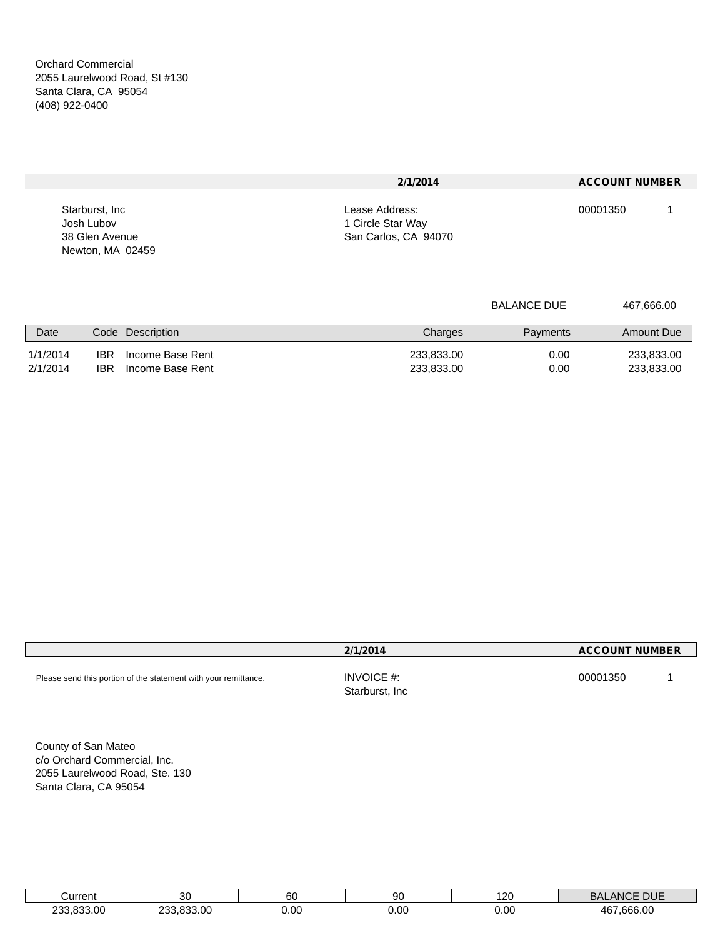Orchard Commercial 2055 Laurelwood Road, St #130 Santa Clara, CA 95054 (408) 922-0400

|                  | 2/1/2014             | <b>ACCOUNT NUMBER</b> |
|------------------|----------------------|-----------------------|
| Starburst, Inc.  | Lease Address:       | 00001350              |
| Josh Lubov       | 1 Circle Star Way    |                       |
| 38 Glen Avenue   | San Carlos, CA 94070 |                       |
| Newton, MA 02459 |                      |                       |

|                      |                                                            | <b>BALANCE DUE</b>                       | 467,666.00               |
|----------------------|------------------------------------------------------------|------------------------------------------|--------------------------|
| Date                 | Code Description                                           | Charges<br>Payments                      | Amount Due               |
| 1/1/2014<br>2/1/2014 | <b>IBR</b><br>Income Base Rent<br>IBR.<br>Income Base Rent | 233,833.00<br>0.00<br>233,833.00<br>0.00 | 233,833.00<br>233,833.00 |

|                                                                 | 2/1/2014                     | <b>ACCOUNT NUMBER</b> |
|-----------------------------------------------------------------|------------------------------|-----------------------|
| Please send this portion of the statement with your remittance. | INVOICE #:<br>Starburst, Inc | 00001350              |

County of San Mateo c/o Orchard Commercial, Inc. 2055 Laurelwood Road, Ste. 130 Santa Clara, CA 95054

| IITIOM<br>. .             |                         | n,<br>οU | .ar<br>ou | 20   | <b>DUC</b><br>DUE<br>וכ    |
|---------------------------|-------------------------|----------|-----------|------|----------------------------|
| .oc<br>.002<br><b>000</b> | $\sim$<br>.oc<br>$\sim$ | 0.00     | 0.00<br>. | 0.00 | .00<br>$\sim$<br>Дh<br>hhh |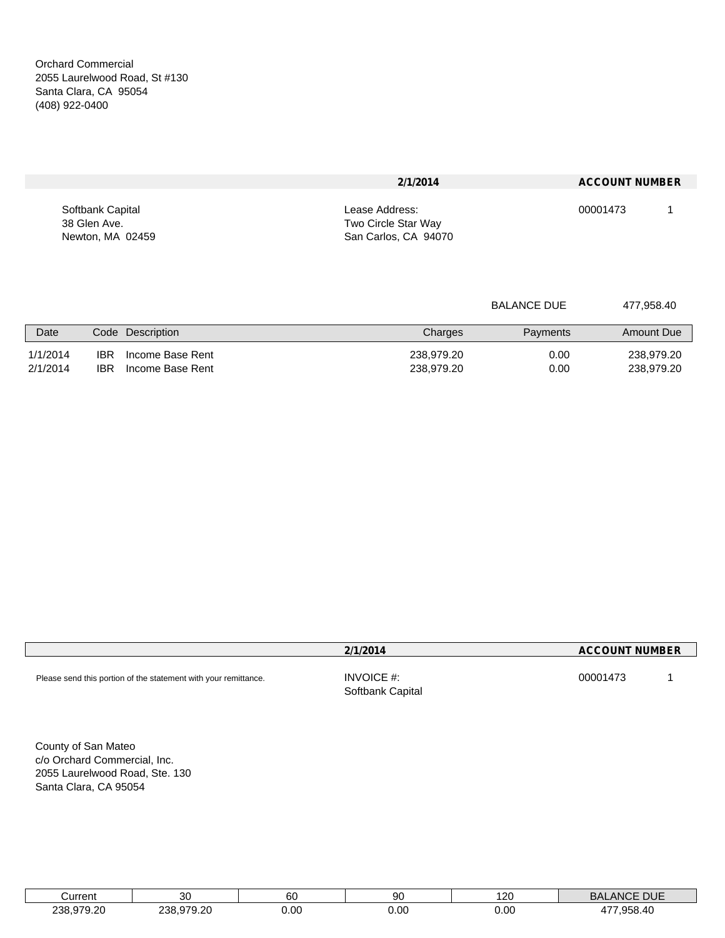|                  | 2/1/2014             | <b>ACCOUNT NUMBER</b> |
|------------------|----------------------|-----------------------|
| Softbank Capital | Lease Address:       | 00001473              |
| 38 Glen Ave.     | Two Circle Star Way  |                       |
| Newton, MA 02459 | San Carlos, CA 94070 |                       |

| <b>BALANCE DUE</b> | 477,958.40 |
|--------------------|------------|
|                    |            |

| Date                 | <b>Description</b><br>Code                                       | Charges                  | Payments     | Amount Due               |
|----------------------|------------------------------------------------------------------|--------------------------|--------------|--------------------------|
| 1/1/2014<br>2/1/2014 | <b>IBR</b><br>Income Base Rent<br><b>IBR</b><br>Income Base Rent | 238,979.20<br>238,979.20 | 0.00<br>0.00 | 238,979.20<br>238,979.20 |

|                                                                 | 2/1/2014                          | <b>ACCOUNT NUMBER</b> |
|-----------------------------------------------------------------|-----------------------------------|-----------------------|
| Please send this portion of the statement with your remittance. | INVOICE $#$ :<br>Softbank Capital | 00001473              |

County of San Mateo c/o Orchard Commercial, Inc. 2055 Laurelwood Road, Ste. 130 Santa Clara, CA 95054

| ∖urrent<br>الباب     |                           | 60        | 90   | 20)  | P11<br>ANU<br>DUE<br>יוכ<br>$\cdot$ . |
|----------------------|---------------------------|-----------|------|------|---------------------------------------|
| 070<br>$\sim$<br>238 | 979.20<br>າາເ<br>$\cdots$ | 0.00<br>. | 0.00 | 0.00 | $\sim$ $\sim$ $\sim$<br>4<br>unx      |